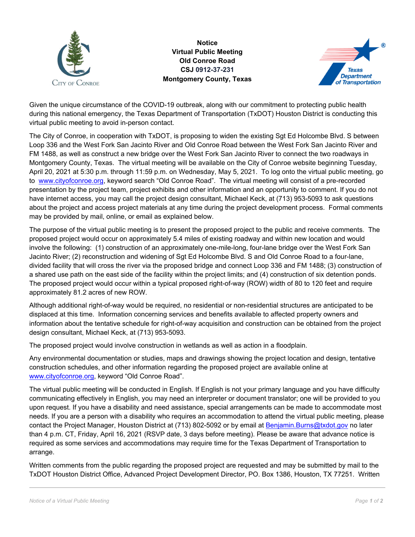

**Notice Virtual Public Meeting Old Conroe Road CSJ 0912-37-231 Montgomery County, Texas** 



Given the unique circumstance of the COVID-19 outbreak, along with our commitment to protecting public health during this national emergency, the Texas Department of Transportation (TxDOT) Houston District is conducting this virtual public meeting to avoid in-person contact.

The City of Conroe, in cooperation with TxDOT, is proposing to widen the existing Sgt Ed Holcombe Blvd. S between Loop 336 and the West Fork San Jacinto River and Old Conroe Road between the West Fork San Jacinto River and FM 1488, as well as construct a new bridge over the West Fork San Jacinto River to connect the two roadways in Montgomery County, Texas. The virtual meeting will be available on the City of Conroe website beginning Tuesday, April 20, 2021 at 5:30 p.m. through 11:59 p.m. on Wednesday, May 5, 2021. To log onto the virtual public meeting, go to www.cityofconroe.org, keyword search "Old Conroe Road". The virtual meeting will consist of a pre-recorded presentation by the project team, project exhibits and other information and an opportunity to comment. If you do not have internet access, you may call the project design consultant, Michael Keck, at (713) 953-5093 to ask questions about the project and access project materials at any time during the project development process. Formal comments may be provided by mail, online, or email as explained below.

The purpose of the virtual public meeting is to present the proposed project to the public and receive comments. The proposed project would occur on approximately 5.4 miles of existing roadway and within new location and would involve the following: (1) construction of an approximately one-mile-long, four-lane bridge over the West Fork San Jacinto River; (2) reconstruction and widening of Sgt Ed Holcombe Blvd. S and Old Conroe Road to a four-lane, divided facility that will cross the river via the proposed bridge and connect Loop 336 and FM 1488; (3) construction of a shared use path on the east side of the facility within the project limits; and (4) construction of six detention ponds. The proposed project would occur within a typical proposed right-of-way (ROW) width of 80 to 120 feet and require approximately 81.2 acres of new ROW.

Although additional right-of-way would be required, no residential or non-residential structures are anticipated to be displaced at this time. Information concerning services and benefits available to affected property owners and information about the tentative schedule for right-of-way acquisition and construction can be obtained from the project design consultant, Michael Keck, at (713) 953-5093.

The proposed project would involve construction in wetlands as well as action in a floodplain.

Any environmental documentation or studies, maps and drawings showing the project location and design, tentative construction schedules, and other information regarding the proposed project are available online at www.cityofconroe.org, keyword "Old Conroe Road".

The virtual public meeting will be conducted in English. If English is not your primary language and you have difficulty communicating effectively in English, you may need an interpreter or document translator; one will be provided to you upon request. If you have a disability and need assistance, special arrangements can be made to accommodate most needs. If you are a person with a disability who requires an accommodation to attend the virtual public meeting, please contact the Project Manager, Houston District at (713) 802-5092 or by email at Benjamin.Burns@txdot.gov no later than 4 p.m. CT, Friday, April 16, 2021 (RSVP date, 3 days before meeting). Please be aware that advance notice is required as some services and accommodations may require time for the Texas Department of Transportation to arrange.

Written comments from the public regarding the proposed project are requested and may be submitted by mail to the TxDOT Houston District Office, Advanced Project Development Director, PO. Box 1386, Houston, TX 77251. Written